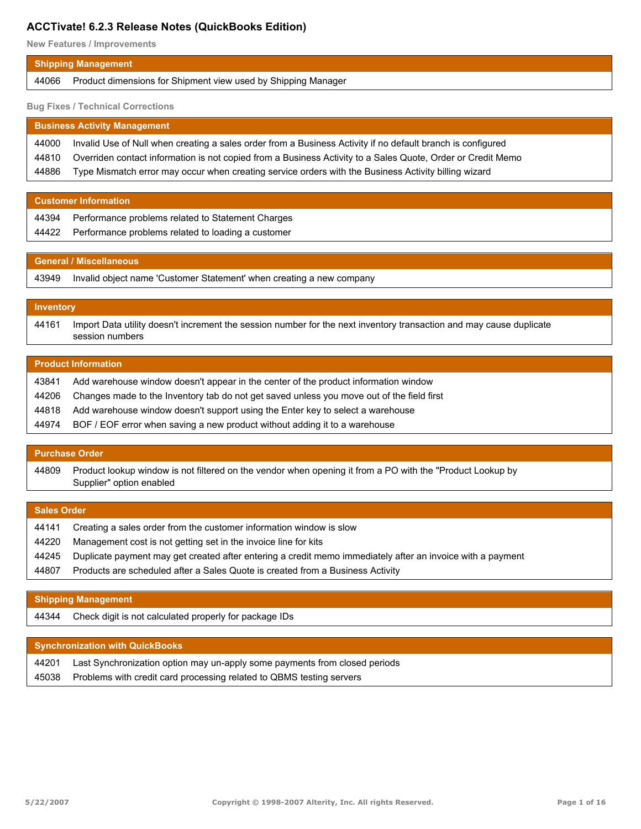**New Features / Improvements**

| <b>Shipping Management</b> |                                                                     |
|----------------------------|---------------------------------------------------------------------|
|                            | 44066 Product dimensions for Shipment view used by Shipping Manager |

**Bug Fixes / Technical Corrections**

| <b>Business Activity Management</b> |                                                                                                             |
|-------------------------------------|-------------------------------------------------------------------------------------------------------------|
| 44000                               | Invalid Use of Null when creating a sales order from a Business Activity if no default branch is configured |
| 44810                               | Overriden contact information is not copied from a Business Activity to a Sales Quote, Order or Credit Memo |
| 44886                               | Type Mismatch error may occur when creating service orders with the Business Activity billing wizard        |

| <b>Customer Information</b> |                                                          |
|-----------------------------|----------------------------------------------------------|
|                             | 44394 Performance problems related to Statement Charges  |
|                             | 44422 Performance problems related to loading a customer |
|                             |                                                          |

#### **General / Miscellaneous**

43949 Invalid object name 'Customer Statement' when creating a new company

#### **Inventory**

Import Data utility doesn't increment the session number for the next inventory transaction and may cause duplicate session numbers 44161

## **Product Information**

| 43841 | Add warehouse window doesn't appear in the center of the product information window       |
|-------|-------------------------------------------------------------------------------------------|
| 44206 | Changes made to the Inventory tab do not get saved unless you move out of the field first |
| 44818 | Add warehouse window doesn't support using the Enter key to select a warehouse            |
| 44974 | BOF / EOF error when saving a new product without adding it to a warehouse                |

#### **Purchase Order**

Product lookup window is not filtered on the vendor when opening it from a PO with the "Product Lookup by Supplier" option enabled 44809

| <b>Sales Order</b>                                                                                         |  |
|------------------------------------------------------------------------------------------------------------|--|
| Creating a sales order from the customer information window is slow                                        |  |
| Management cost is not getting set in the invoice line for kits                                            |  |
| Duplicate payment may get created after entering a credit memo immediately after an invoice with a payment |  |
| Products are scheduled after a Sales Quote is created from a Business Activity                             |  |
|                                                                                                            |  |

#### **Shipping Management**

44344 Check digit is not calculated properly for package IDs

| <b>Synchronization with QuickBooks</b> |                                                                            |
|----------------------------------------|----------------------------------------------------------------------------|
| 44201                                  | Last Synchronization option may un-apply some payments from closed periods |
| 45038                                  | Problems with credit card processing related to QBMS testing servers       |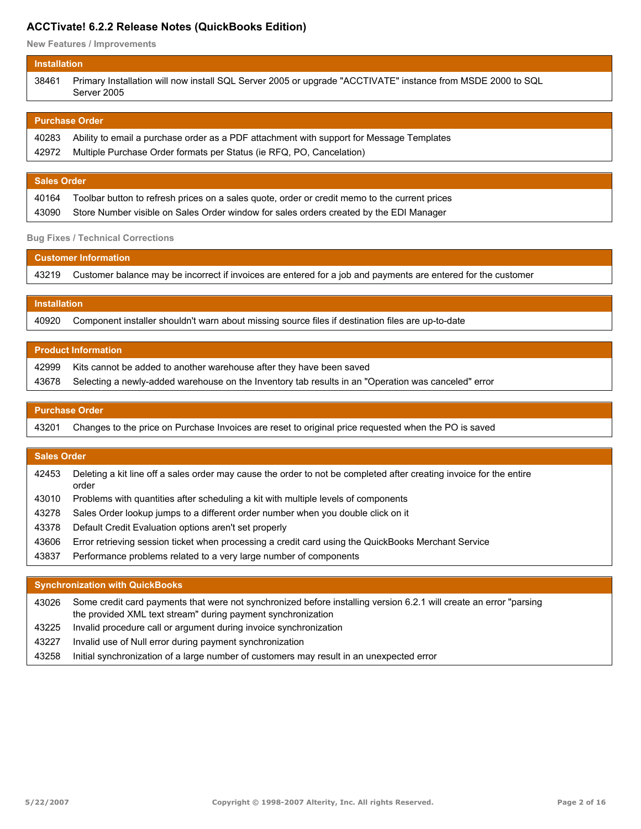**New Features / Improvements**

| Primary Installation will now install SQL Server 2005 or upgrade "ACCTIVATE" instance from MSDE 2000 to SQL<br>38461<br>Server 2005 | <b>Installation</b> |  |
|-------------------------------------------------------------------------------------------------------------------------------------|---------------------|--|
|                                                                                                                                     |                     |  |

| │ Purchase Order \ |                                                                                                |
|--------------------|------------------------------------------------------------------------------------------------|
|                    | 40283 Ability to email a purchase order as a PDF attachment with support for Message Templates |
|                    | 42972 Multiple Purchase Order formats per Status (ie RFQ, PO, Cancelation)                     |
|                    |                                                                                                |

|       | <b>Sales Order</b>                                                                                  |  |
|-------|-----------------------------------------------------------------------------------------------------|--|
|       | 40164 Toolbar button to refresh prices on a sales quote, order or credit memo to the current prices |  |
| 43090 | Store Number visible on Sales Order window for sales orders created by the EDI Manager              |  |

#### **Bug Fixes / Technical Corrections**

| $\blacksquare$ Customer Information $\blacksquare$ |                                                                                                                     |
|----------------------------------------------------|---------------------------------------------------------------------------------------------------------------------|
|                                                    | 43219 Customer balance may be incorrect if invoices are entered for a job and payments are entered for the customer |
|                                                    |                                                                                                                     |

#### **Installation**

40920 Component installer shouldn't warn about missing source files if destination files are up-to-date

| <b>Product Information</b> |                                                                                                     |
|----------------------------|-----------------------------------------------------------------------------------------------------|
| 42999                      | Kits cannot be added to another warehouse after they have been saved                                |
| 43678                      | Selecting a newly-added warehouse on the Inventory tab results in an "Operation was canceled" error |
|                            |                                                                                                     |

#### **Purchase Order**

43201 Changes to the price on Purchase Invoices are reset to original price requested when the PO is saved

#### **Sales Order**

Deleting a kit line off a sales order may cause the order to not be completed after creating invoice for the entire order 42453

- 43010 Problems with quantities after scheduling a kit with multiple levels of components
- 43278 Sales Order lookup jumps to a different order number when you double click on it
- 43378 Default Credit Evaluation options aren't set properly
- 43606 Error retrieving session ticket when processing a credit card using the QuickBooks Merchant Service
- 43837 Performance problems related to a very large number of components

#### **Synchronization with QuickBooks**

Some credit card payments that were not synchronized before installing version 6.2.1 will create an error "parsing the provided XML text stream" during payment synchronization 43026

- 43225 Invalid procedure call or argument during invoice synchronization
- 43227 Invalid use of Null error during payment synchronization
- 43258 Initial synchronization of a large number of customers may result in an unexpected error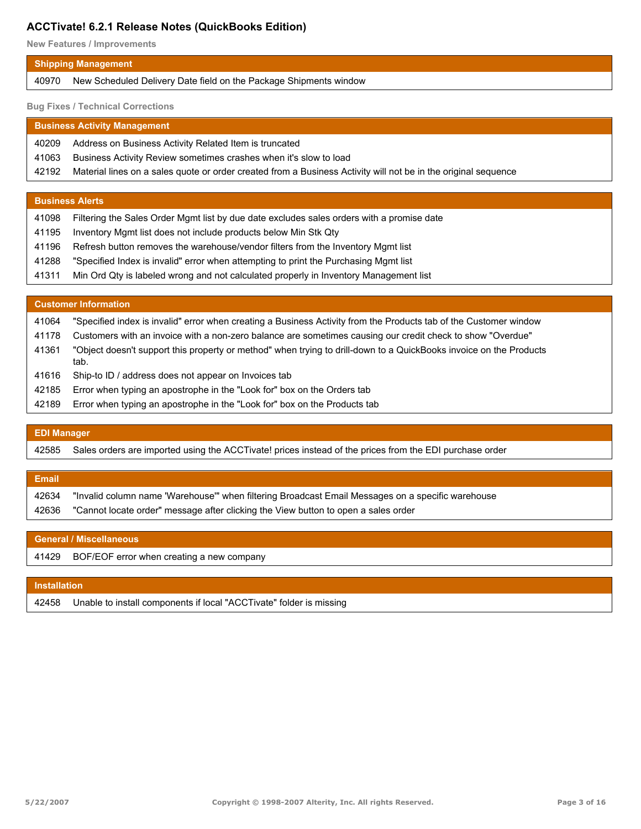**New Features / Improvements**

| Shipping Management |                                                                         |
|---------------------|-------------------------------------------------------------------------|
|                     | 40970 New Scheduled Delivery Date field on the Package Shipments window |

**Bug Fixes / Technical Corrections**

| <b>Business Activity Management</b> |                                                                                                                |  |
|-------------------------------------|----------------------------------------------------------------------------------------------------------------|--|
| 40209                               | Address on Business Activity Related Item is truncated                                                         |  |
| 41063                               | Business Activity Review sometimes crashes when it's slow to load                                              |  |
| 42192                               | Material lines on a sales quote or order created from a Business Activity will not be in the original sequence |  |
|                                     |                                                                                                                |  |
| <b>Business Alerts</b>              |                                                                                                                |  |

- 41195 Inventory Mgmt list does not include products below Min Stk Qty
- 41196 Refresh button removes the warehouse/vendor filters from the Inventory Mgmt list
- 41288 "Specified Index is invalid" error when attempting to print the Purchasing Mgmt list
- 41311 Min Ord Qty is labeled wrong and not calculated properly in Inventory Management list

## **Customer Information**

| 41064 | "Specified index is invalid" error when creating a Business Activity from the Products tab of the Customer window          |
|-------|----------------------------------------------------------------------------------------------------------------------------|
| 41178 | Customers with an invoice with a non-zero balance are sometimes causing our credit check to show "Overdue"                 |
| 41361 | "Object doesn't support this property or method" when trying to drill-down to a QuickBooks invoice on the Products<br>tab. |
| 41616 | Ship-to ID / address does not appear on Invoices tab                                                                       |
| 42185 | Error when typing an apostrophe in the "Look for" box on the Orders tab                                                    |

42189 Error when typing an apostrophe in the "Look for" box on the Products tab

# **EDI Manager** 42585 Sales orders are imported using the ACCTivate! prices instead of the prices from the EDI purchase order **Email**

| 42634 | "Invalid column name 'Warehouse'" when filtering Broadcast Email Messages on a specific warehouse |
|-------|---------------------------------------------------------------------------------------------------|
|       | 42636 "Cannot locate order" message after clicking the View button to open a sales order          |

| <b>General / Miscellaneous</b> |                                                 |  |
|--------------------------------|-------------------------------------------------|--|
|                                | 41429 BOF/EOF error when creating a new company |  |
|                                |                                                 |  |

## **Installation** 42458 Unable to install components if local "ACCTivate" folder is missing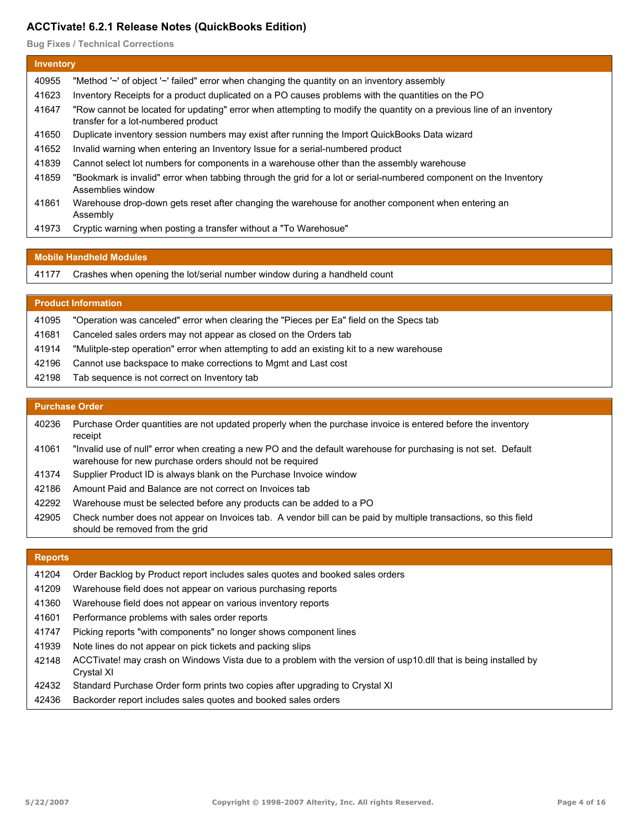**Bug Fixes / Technical Corrections**

|       | <b>Inventory</b>                                                                                                                                            |  |  |  |
|-------|-------------------------------------------------------------------------------------------------------------------------------------------------------------|--|--|--|
| 40955 | "Method '~' of object '~' failed" error when changing the quantity on an inventory assembly                                                                 |  |  |  |
| 41623 | Inventory Receipts for a product duplicated on a PO causes problems with the quantities on the PO                                                           |  |  |  |
| 41647 | "Row cannot be located for updating" error when attempting to modify the quantity on a previous line of an inventory<br>transfer for a lot-numbered product |  |  |  |
| 41650 | Duplicate inventory session numbers may exist after running the Import QuickBooks Data wizard                                                               |  |  |  |
| 41652 | Invalid warning when entering an Inventory Issue for a serial-numbered product                                                                              |  |  |  |
| 41839 | Cannot select lot numbers for components in a warehouse other than the assembly warehouse                                                                   |  |  |  |
| 41859 | "Bookmark is invalid" error when tabbing through the grid for a lot or serial-numbered component on the Inventory<br>Assemblies window                      |  |  |  |
| 41861 | Warehouse drop-down gets reset after changing the warehouse for another component when entering an<br>Assembly                                              |  |  |  |
| 41973 | Cryptic warning when posting a transfer without a "To Warehosue"                                                                                            |  |  |  |

#### **Mobile Handheld Modules**

|  |  |  |  |  | 41177 Crashes when opening the lot/serial number window during a handheld count |  |  |  |
|--|--|--|--|--|---------------------------------------------------------------------------------|--|--|--|
|--|--|--|--|--|---------------------------------------------------------------------------------|--|--|--|

#### **Product Information**

- 41095 "Operation was canceled" error when clearing the "Pieces per Ea" field on the Specs tab
- 41681 Canceled sales orders may not appear as closed on the Orders tab
- 41914 "Mulitple-step operation" error when attempting to add an existing kit to a new warehouse
- 42196 Cannot use backspace to make corrections to Mgmt and Last cost
- 42198 Tab sequence is not correct on Inventory tab

#### **Purchase Order**

- Purchase Order quantities are not updated properly when the purchase invoice is entered before the inventory receipt 40236
- "Invalid use of null" error when creating a new PO and the default warehouse for purchasing is not set. Default warehouse for new purchase orders should not be required 41061
- 41374 Supplier Product ID is always blank on the Purchase Invoice window
- 42186 Amount Paid and Balance are not correct on Invoices tab
- 42292 Warehouse must be selected before any products can be added to a PO
- Check number does not appear on Invoices tab. A vendor bill can be paid by multiple transactions, so this field should be removed from the grid 42905

#### **Reports**

- 41204 Order Backlog by Product report includes sales quotes and booked sales orders
- 41209 Warehouse field does not appear on various purchasing reports
- 41360 Warehouse field does not appear on various inventory reports
- 41601 Performance problems with sales order reports
- 41747 Picking reports "with components" no longer shows component lines
- 41939 Note lines do not appear on pick tickets and packing slips
- ACCTivate! may crash on Windows Vista due to a problem with the version of usp10.dll that is being installed by Crystal XI 42148
- 42432 Standard Purchase Order form prints two copies after upgrading to Crystal XI
- 42436 Backorder report includes sales quotes and booked sales orders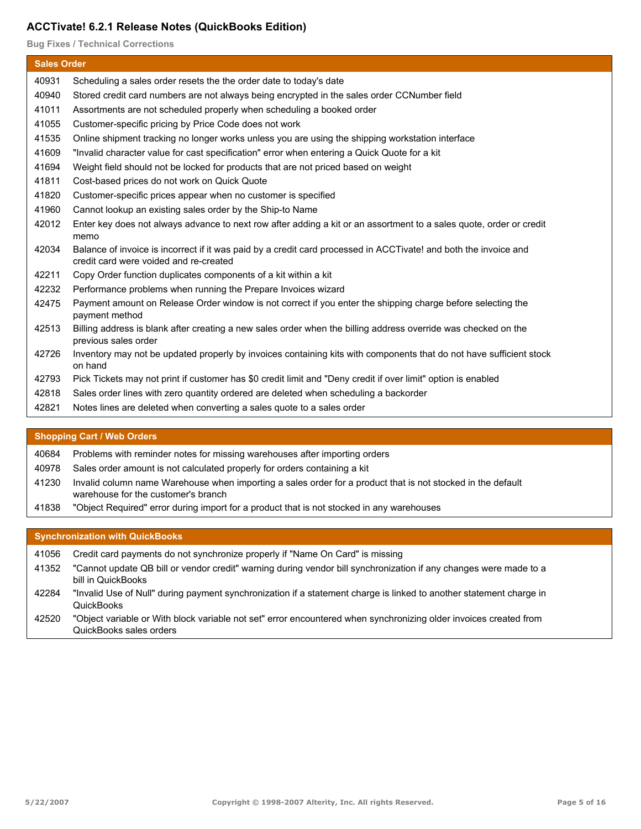**Bug Fixes / Technical Corrections**

| <b>Sales Order</b> |                                                                                                                                                            |  |
|--------------------|------------------------------------------------------------------------------------------------------------------------------------------------------------|--|
| 40931              | Scheduling a sales order resets the the order date to today's date                                                                                         |  |
| 40940              | Stored credit card numbers are not always being encrypted in the sales order CCNumber field                                                                |  |
| 41011              | Assortments are not scheduled properly when scheduling a booked order                                                                                      |  |
| 41055              | Customer-specific pricing by Price Code does not work                                                                                                      |  |
| 41535              | Online shipment tracking no longer works unless you are using the shipping workstation interface                                                           |  |
| 41609              | "Invalid character value for cast specification" error when entering a Quick Quote for a kit                                                               |  |
| 41694              | Weight field should not be locked for products that are not priced based on weight                                                                         |  |
| 41811              | Cost-based prices do not work on Quick Quote                                                                                                               |  |
| 41820              | Customer-specific prices appear when no customer is specified                                                                                              |  |
| 41960              | Cannot lookup an existing sales order by the Ship-to Name                                                                                                  |  |
| 42012              | Enter key does not always advance to next row after adding a kit or an assortment to a sales quote, order or credit<br>memo                                |  |
| 42034              | Balance of invoice is incorrect if it was paid by a credit card processed in ACCTivate! and both the invoice and<br>credit card were voided and re-created |  |
| 42211              | Copy Order function duplicates components of a kit within a kit                                                                                            |  |
| 42232              | Performance problems when running the Prepare Invoices wizard                                                                                              |  |
| 42475              | Payment amount on Release Order window is not correct if you enter the shipping charge before selecting the<br>payment method                              |  |
| 42513              | Billing address is blank after creating a new sales order when the billing address override was checked on the<br>previous sales order                     |  |
| 42726              | Inventory may not be updated properly by invoices containing kits with components that do not have sufficient stock<br>on hand                             |  |
| 42793              | Pick Tickets may not print if customer has \$0 credit limit and "Deny credit if over limit" option is enabled                                              |  |
| 42818              | Sales order lines with zero quantity ordered are deleted when scheduling a backorder                                                                       |  |
| 42821              | Notes lines are deleted when converting a sales quote to a sales order                                                                                     |  |
|                    |                                                                                                                                                            |  |
|                    | <b>Shopping Cart / Web Orders</b>                                                                                                                          |  |

40684 Problems with reminder notes for missing warehouses after importing orders

- 40978 Sales order amount is not calculated properly for orders containing a kit
- Invalid column name Warehouse when importing a sales order for a product that is not stocked in the default warehouse for the customer's branch 41230
- 41838 "Object Required" error during import for a product that is not stocked in any warehouses

## **Synchronization with QuickBooks**

- 41056 Credit card payments do not synchronize properly if "Name On Card" is missing
- "Cannot update QB bill or vendor credit" warning during vendor bill synchronization if any changes were made to a bill in QuickBooks 41352
- "Invalid Use of Null" during payment synchronization if a statement charge is linked to another statement charge in **QuickBooks** 42284
- "Object variable or With block variable not set" error encountered when synchronizing older invoices created from QuickBooks sales orders 42520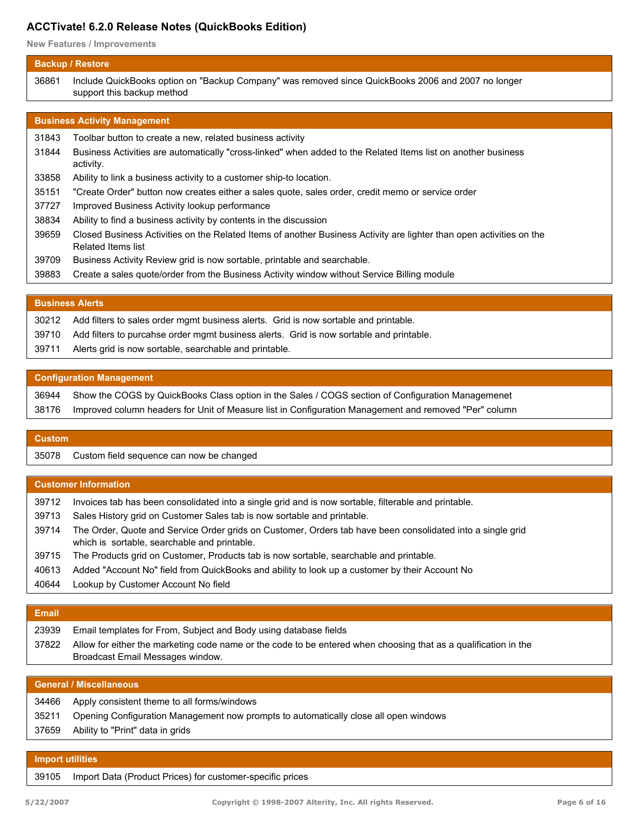**New Features / Improvements**

## **Backup / Restore** Include QuickBooks option on "Backup Company" was removed since QuickBooks 2006 and 2007 no longer support this backup method 36861 **Business Activity Management** 31843 Toolbar button to create a new, related business activity Business Activities are automatically "cross-linked" when added to the Related Items list on another business activity. 31844 33858 Ability to link a business activity to a customer ship-to location. 35151 "Create Order" button now creates either a sales quote, sales order, credit memo or service order 37727 Improved Business Activity lookup performance 38834 Ability to find a business activity by contents in the discussion Closed Business Activities on the Related Items of another Business Activity are lighter than open activities on the Related Items list 39659 39709 Business Activity Review grid is now sortable, printable and searchable.

39883 Create a sales quote/order from the Business Activity window without Service Billing module

## **Business Alerts**

| 30212 | Add filters to sales order mgmt business alerts. Grid is now sortable and printable.    |
|-------|-----------------------------------------------------------------------------------------|
| 39710 | Add filters to purcahse order mgmt business alerts. Grid is now sortable and printable. |
| 39711 | Alerts grid is now sortable, searchable and printable.                                  |

## **Configuration Management**

| 36944 Show the COGS by QuickBooks Class option in the Sales / COGS section of Configuration Managemenet     |
|-------------------------------------------------------------------------------------------------------------|
| 38176 Improved column headers for Unit of Measure list in Configuration Management and removed "Per" column |

# **Custom**

35078 Custom field sequence can now be changed

## **Customer Information**

| 39712 | Invoices tab has been consolidated into a single grid and is now sortable, filterable and printable.                                                       |
|-------|------------------------------------------------------------------------------------------------------------------------------------------------------------|
| 39713 | Sales History grid on Customer Sales tab is now sortable and printable.                                                                                    |
| 39714 | The Order, Quote and Service Order grids on Customer, Orders tab have been consolidated into a single grid<br>which is sortable, searchable and printable. |
| 39715 | The Products grid on Customer, Products tab is now sortable, searchable and printable.                                                                     |
| 40613 | Added "Account No" field from QuickBooks and ability to look up a customer by their Account No                                                             |
| 40644 | Lookup by Customer Account No field                                                                                                                        |
|       |                                                                                                                                                            |

## **Email**

| 23939 | Email templates for From, Subject and Body using database fields                                                |
|-------|-----------------------------------------------------------------------------------------------------------------|
| 37822 | Allow for either the marketing code name or the code to be entered when choosing that as a qualification in the |
|       | Broadcast Email Messages window.                                                                                |

| <b>General / Miscellaneous</b> |                                                                                      |
|--------------------------------|--------------------------------------------------------------------------------------|
| 34466                          | Apply consistent theme to all forms/windows                                          |
| 35211                          | Opening Configuration Management now prompts to automatically close all open windows |
| 37659                          | Ability to "Print" data in grids                                                     |
|                                |                                                                                      |

## **Import utilities**

39105 Import Data (Product Prices) for customer-specific prices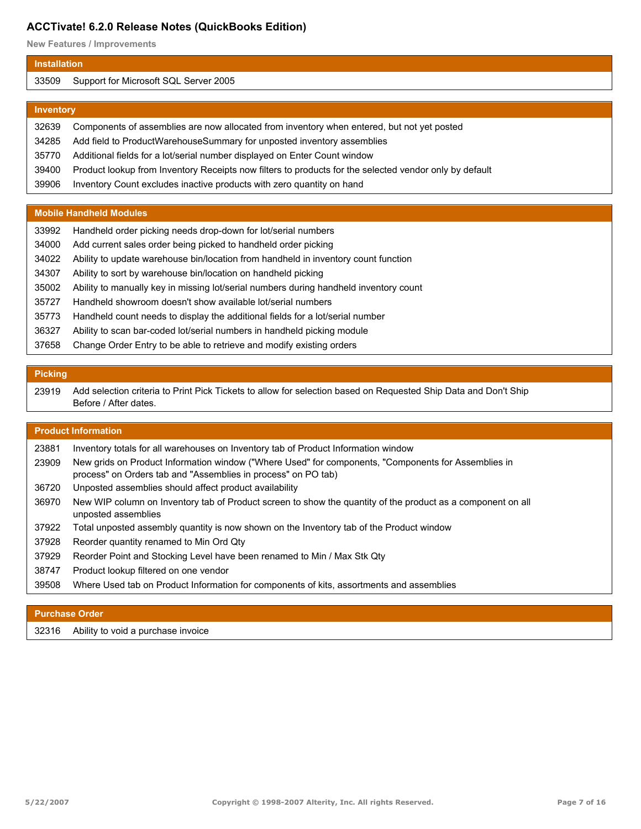**New Features / Improvements**

#### **Installation**

#### Support for Microsoft SQL Server 2005

#### **Inventory**

| 32639 | Components of assemblies are now allocated from inventory when entered, but not yet posted             |
|-------|--------------------------------------------------------------------------------------------------------|
| 34285 | Add field to ProductWarehouseSummary for unposted inventory assemblies                                 |
| 35770 | Additional fields for a lot/serial number displayed on Enter Count window                              |
| 39400 | Product lookup from Inventory Receipts now filters to products for the selected vendor only by default |
| 39906 | Inventory Count excludes inactive products with zero quantity on hand                                  |

#### **Mobile Handheld Modules**

| 33992 | Handheld order picking needs drop-down for lot/serial numbers                         |
|-------|---------------------------------------------------------------------------------------|
| 34000 | Add current sales order being picked to handheld order picking                        |
| 34022 | Ability to update warehouse bin/location from handheld in inventory count function    |
| 34307 | Ability to sort by warehouse bin/location on handheld picking                         |
| 35002 | Ability to manually key in missing lot/serial numbers during handheld inventory count |
| 35727 | Handheld showroom doesn't show available lot/serial numbers                           |
| 35773 | Handheld count needs to display the additional fields for a lot/serial number         |
| 36327 | Ability to scan bar-coded lot/serial numbers in handheld picking module               |
| 37658 | Change Order Entry to be able to retrieve and modify existing orders                  |

## **Picking**

Add selection criteria to Print Pick Tickets to allow for selection based on Requested Ship Data and Don't Ship Before / After dates. 

## **Product Information**

| 23881 |  |                                                                                    |
|-------|--|------------------------------------------------------------------------------------|
|       |  | Inventory totals for all warehouses on Inventory tab of Product Information window |

- New grids on Product Information window ("Where Used" for components, "Components for Assemblies in process" on Orders tab and "Assemblies in process" on PO tab)
- Unposted assemblies should affect product availability
- New WIP column on Inventory tab of Product screen to show the quantity of the product as a component on all unposted assemblies
- Total unposted assembly quantity is now shown on the Inventory tab of the Product window
- Reorder quantity renamed to Min Ord Qty
- Reorder Point and Stocking Level have been renamed to Min / Max Stk Qty
- Product lookup filtered on one vendor
- Where Used tab on Product Information for components of kits, assortments and assemblies

#### **Purchase Order**

Ability to void a purchase invoice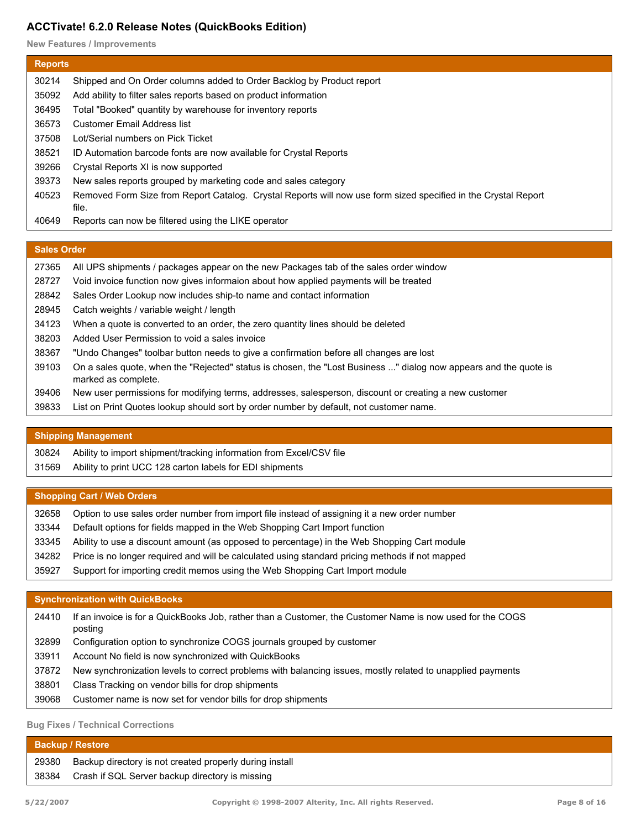**New Features / Improvements**

| <b>Reports</b> |                                                                                                                         |
|----------------|-------------------------------------------------------------------------------------------------------------------------|
| 30214          | Shipped and On Order columns added to Order Backlog by Product report                                                   |
| 35092          | Add ability to filter sales reports based on product information                                                        |
| 36495          | Total "Booked" quantity by warehouse for inventory reports                                                              |
| 36573          | Customer Email Address list                                                                                             |
| 37508          | Lot/Serial numbers on Pick Ticket                                                                                       |
| 38521          | ID Automation barcode fonts are now available for Crystal Reports                                                       |
| 39266          | Crystal Reports XI is now supported                                                                                     |
| 39373          | New sales reports grouped by marketing code and sales category                                                          |
| 40523          | Removed Form Size from Report Catalog. Crystal Reports will now use form sized specified in the Crystal Report<br>file. |
| 40649          | Reports can now be filtered using the LIKE operator                                                                     |

## **Sales Order**

| 27365 | All UPS shipments / packages appear on the new Packages tab of the sales order window                                                   |
|-------|-----------------------------------------------------------------------------------------------------------------------------------------|
| 28727 | Void invoice function now gives informaion about how applied payments will be treated                                                   |
| 28842 | Sales Order Lookup now includes ship-to name and contact information                                                                    |
| 28945 | Catch weights / variable weight / length                                                                                                |
| 34123 | When a quote is converted to an order, the zero quantity lines should be deleted                                                        |
| 38203 | Added User Permission to void a sales invoice                                                                                           |
| 38367 | "Undo Changes" toolbar button needs to give a confirmation before all changes are lost                                                  |
| 39103 | On a sales quote, when the "Rejected" status is chosen, the "Lost Business " dialog now appears and the quote is<br>marked as complete. |
| 39406 | New user permissions for modifying terms, addresses, salesperson, discount or creating a new customer                                   |
| 39833 | List on Print Quotes lookup should sort by order number by default, not customer name.                                                  |

## **Shipping Management**

| 30824 | Ability to import shipment/tracking information from Excel/CSV file |
|-------|---------------------------------------------------------------------|
| 31569 | Ability to print UCC 128 carton labels for EDI shipments            |

## **Shopping Cart / Web Orders**

| 32658 | Option to use sales order number from import file instead of assigning it a new order number    |
|-------|-------------------------------------------------------------------------------------------------|
| 33344 | Default options for fields mapped in the Web Shopping Cart Import function                      |
| 33345 | Ability to use a discount amount (as opposed to percentage) in the Web Shopping Cart module     |
| 34282 | Price is no longer required and will be calculated using standard pricing methods if not mapped |
| 35927 | Support for importing credit memos using the Web Shopping Cart Import module                    |

## **Synchronization with QuickBooks**

| 24410 | If an invoice is for a QuickBooks Job, rather than a Customer, the Customer Name is now used for the COGS<br>posting |
|-------|----------------------------------------------------------------------------------------------------------------------|
| 32899 | Configuration option to synchronize COGS journals grouped by customer                                                |
| 33911 | Account No field is now synchronized with QuickBooks                                                                 |
| 37872 | New synchronization levels to correct problems with balancing issues, mostly related to unapplied payments           |
| 38801 | Class Tracking on vendor bills for drop shipments                                                                    |
| 39068 | Customer name is now set for vendor bills for drop shipments                                                         |
|       |                                                                                                                      |

## **Bug Fixes / Technical Corrections**

| Backup / Restore |                                                         |
|------------------|---------------------------------------------------------|
| 29380            | Backup directory is not created properly during install |
| 38384            | Crash if SQL Server backup directory is missing         |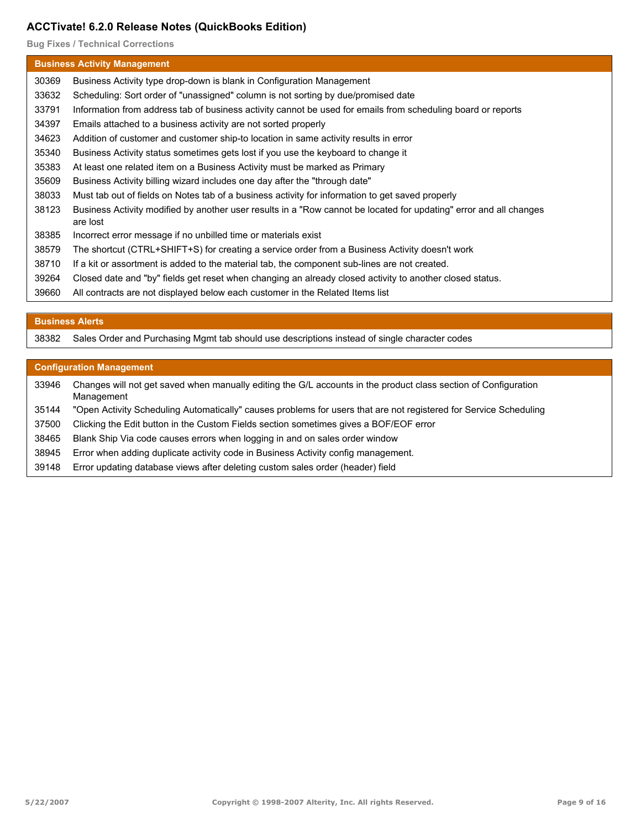**Bug Fixes / Technical Corrections**

|       | <b>Business Activity Management</b>                                                                                            |  |  |
|-------|--------------------------------------------------------------------------------------------------------------------------------|--|--|
| 30369 | Business Activity type drop-down is blank in Configuration Management                                                          |  |  |
| 33632 | Scheduling: Sort order of "unassigned" column is not sorting by due/promised date                                              |  |  |
| 33791 | Information from address tab of business activity cannot be used for emails from scheduling board or reports                   |  |  |
| 34397 | Emails attached to a business activity are not sorted properly                                                                 |  |  |
| 34623 | Addition of customer and customer ship-to location in same activity results in error                                           |  |  |
| 35340 | Business Activity status sometimes gets lost if you use the keyboard to change it                                              |  |  |
| 35383 | At least one related item on a Business Activity must be marked as Primary                                                     |  |  |
| 35609 | Business Activity billing wizard includes one day after the "through date"                                                     |  |  |
| 38033 | Must tab out of fields on Notes tab of a business activity for information to get saved properly                               |  |  |
| 38123 | Business Activity modified by another user results in a "Row cannot be located for updating" error and all changes<br>are lost |  |  |
| 38385 | Incorrect error message if no unbilled time or materials exist                                                                 |  |  |
| 38579 | The shortcut (CTRL+SHIFT+S) for creating a service order from a Business Activity doesn't work                                 |  |  |
| 38710 | If a kit or assortment is added to the material tab, the component sub-lines are not created.                                  |  |  |
| 39264 | Closed date and "by" fields get reset when changing an already closed activity to another closed status.                       |  |  |
| 39660 | All contracts are not displayed below each customer in the Related Items list                                                  |  |  |

## **Business Alerts**

Sales Order and Purchasing Mgmt tab should use descriptions instead of single character codes

#### **Configuration Management**

Changes will not get saved when manually editing the G/L accounts in the product class section of Configuration Management 

- "Open Activity Scheduling Automatically" causes problems for users that are not registered for Service Scheduling
- Clicking the Edit button in the Custom Fields section sometimes gives a BOF/EOF error
- Blank Ship Via code causes errors when logging in and on sales order window
- Error when adding duplicate activity code in Business Activity config management.
- Error updating database views after deleting custom sales order (header) field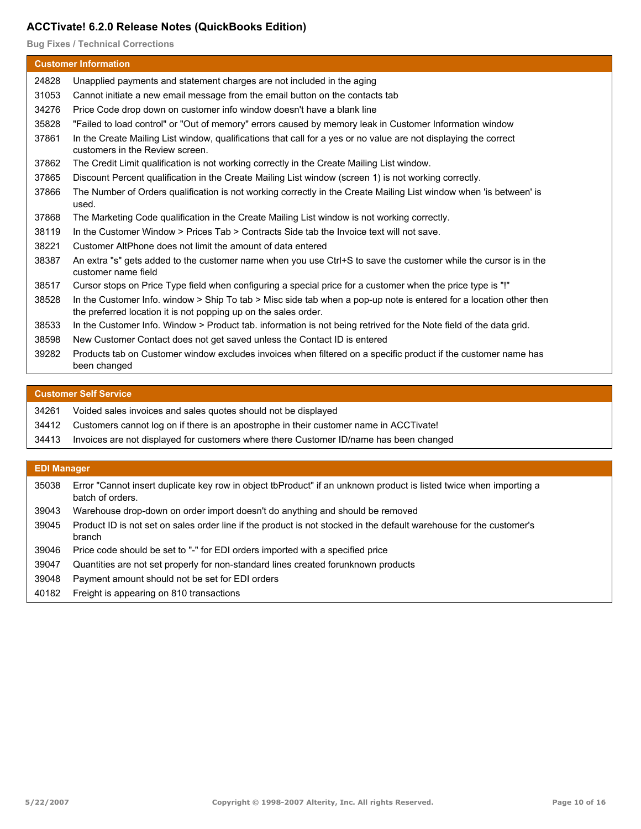**Bug Fixes / Technical Corrections**

|       | <b>Customer Information</b>                                                                                                                                                           |
|-------|---------------------------------------------------------------------------------------------------------------------------------------------------------------------------------------|
| 24828 | Unapplied payments and statement charges are not included in the aging                                                                                                                |
| 31053 | Cannot initiate a new email message from the email button on the contacts tab                                                                                                         |
| 34276 | Price Code drop down on customer info window doesn't have a blank line                                                                                                                |
| 35828 | "Failed to load control" or "Out of memory" errors caused by memory leak in Customer Information window                                                                               |
| 37861 | In the Create Mailing List window, qualifications that call for a yes or no value are not displaying the correct<br>customers in the Review screen.                                   |
| 37862 | The Credit Limit qualification is not working correctly in the Create Mailing List window.                                                                                            |
| 37865 | Discount Percent qualification in the Create Mailing List window (screen 1) is not working correctly.                                                                                 |
| 37866 | The Number of Orders qualification is not working correctly in the Create Mailing List window when 'is between' is<br>used.                                                           |
| 37868 | The Marketing Code qualification in the Create Mailing List window is not working correctly.                                                                                          |
| 38119 | In the Customer Window > Prices Tab > Contracts Side tab the Invoice text will not save.                                                                                              |
| 38221 | Customer AltPhone does not limit the amount of data entered                                                                                                                           |
| 38387 | An extra "s" gets added to the customer name when you use Ctrl+S to save the customer while the cursor is in the<br>customer name field                                               |
| 38517 | Cursor stops on Price Type field when configuring a special price for a customer when the price type is "!"                                                                           |
| 38528 | In the Customer Info. window > Ship To tab > Misc side tab when a pop-up note is entered for a location other then<br>the preferred location it is not popping up on the sales order. |
| 38533 | In the Customer Info. Window > Product tab. information is not being retrived for the Note field of the data grid.                                                                    |
| 38598 | New Customer Contact does not get saved unless the Contact ID is entered                                                                                                              |
| 39282 | Products tab on Customer window excludes invoices when filtered on a specific product if the customer name has<br>been changed                                                        |

#### **Customer Self Service**

| 34261 | Voided sales invoices and sales guotes should not be displayed                               |
|-------|----------------------------------------------------------------------------------------------|
|       | 34412 Customers cannot log on if there is an apostrophe in their customer name in ACCTivate! |
| 34413 | Invoices are not displayed for customers where there Customer ID/name has been changed       |
|       |                                                                                              |

## **EDI Manager**

| 35038 Error "Cannot insert duplicate key row in object tbProduct" if an unknown product is listed twice when importing a |
|--------------------------------------------------------------------------------------------------------------------------|
| batch of orders.                                                                                                         |

- 39043 Warehouse drop-down on order import doesn't do anything and should be removed
- Product ID is not set on sales order line if the product is not stocked in the default warehouse for the customer's branch 39045
- 39046 Price code should be set to "-" for EDI orders imported with a specified price
- 39047 Quantities are not set properly for non-standard lines created forunknown products
- 39048 Payment amount should not be set for EDI orders
- 40182 Freight is appearing on 810 transactions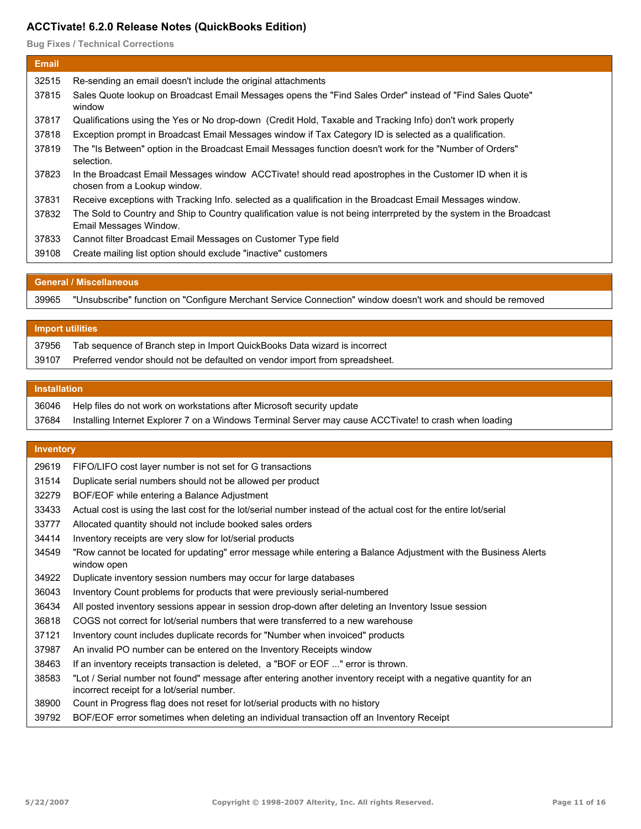**Bug Fixes / Technical Corrections**

| <b>Email</b> |                                                                                                                                                |
|--------------|------------------------------------------------------------------------------------------------------------------------------------------------|
| 32515        | Re-sending an email doesn't include the original attachments                                                                                   |
| 37815        | Sales Quote lookup on Broadcast Email Messages opens the "Find Sales Order" instead of "Find Sales Quote"<br>window                            |
| 37817        | Qualifications using the Yes or No drop-down (Credit Hold, Taxable and Tracking Info) don't work properly                                      |
| 37818        | Exception prompt in Broadcast Email Messages window if Tax Category ID is selected as a qualification.                                         |
| 37819        | The "Is Between" option in the Broadcast Email Messages function doesn't work for the "Number of Orders"<br>selection.                         |
| 37823        | In the Broadcast Email Messages window ACCTivate! should read apostrophes in the Customer ID when it is<br>chosen from a Lookup window.        |
| 37831        | Receive exceptions with Tracking Info. selected as a qualification in the Broadcast Email Messages window.                                     |
| 37832        | The Sold to Country and Ship to Country qualification value is not being interrpreted by the system in the Broadcast<br>Email Messages Window. |
| 37833        | Cannot filter Broadcast Email Messages on Customer Type field                                                                                  |
| 39108        | Create mailing list option should exclude "inactive" customers                                                                                 |

#### **General / Miscellaneous**

"Unsubscribe" function on "Configure Merchant Service Connection" window doesn't work and should be removed

#### **Import utilities**

| 37956 | Tab sequence of Branch step in Import QuickBooks Data wizard is incorrect   |
|-------|-----------------------------------------------------------------------------|
| 39107 | Preferred vendor should not be defaulted on vendor import from spreadsheet. |

#### **Installation**

| 36046 Help files do not work on workstations after Microsoft security update                                 |
|--------------------------------------------------------------------------------------------------------------|
| 37684 Installing Internet Explorer 7 on a Windows Terminal Server may cause ACCTivate! to crash when loading |

#### **Inventory**

| 29619 |  |  |  |  |  | FIFO/LIFO cost layer number is not set for G transactions |
|-------|--|--|--|--|--|-----------------------------------------------------------|
|-------|--|--|--|--|--|-----------------------------------------------------------|

- Duplicate serial numbers should not be allowed per product
- BOF/EOF while entering a Balance Adjustment
- Actual cost is using the last cost for the lot/serial number instead of the actual cost for the entire lot/serial
- Allocated quantity should not include booked sales orders
- Inventory receipts are very slow for lot/serial products
- "Row cannot be located for updating" error message while entering a Balance Adjustment with the Business Alerts window open
- Duplicate inventory session numbers may occur for large databases
- Inventory Count problems for products that were previously serial-numbered
- All posted inventory sessions appear in session drop-down after deleting an Inventory Issue session
- COGS not correct for lot/serial numbers that were transferred to a new warehouse
- Inventory count includes duplicate records for "Number when invoiced" products
- An invalid PO number can be entered on the Inventory Receipts window
- If an inventory receipts transaction is deleted, a "BOF or EOF ..." error is thrown.
- "Lot / Serial number not found" message after entering another inventory receipt with a negative quantity for an incorrect receipt for a lot/serial number.
- Count in Progress flag does not reset for lot/serial products with no history
- BOF/EOF error sometimes when deleting an individual transaction off an Inventory Receipt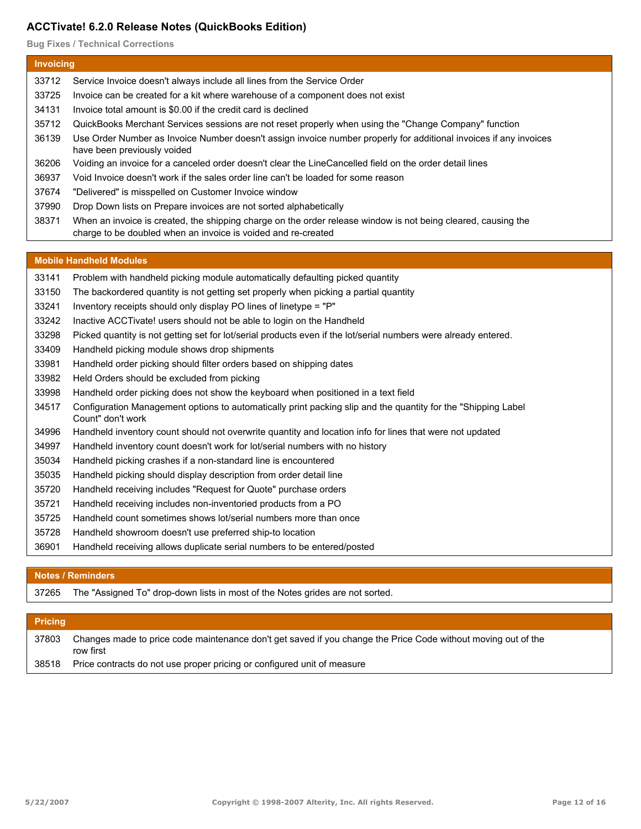**Bug Fixes / Technical Corrections**

## **Invoicing** Service Invoice doesn't always include all lines from the Service Order Invoice can be created for a kit where warehouse of a component does not exist Invoice total amount is \$0.00 if the credit card is declined QuickBooks Merchant Services sessions are not reset properly when using the "Change Company" function Use Order Number as Invoice Number doesn't assign invoice number properly for additional invoices if any invoices have been previously voided Voiding an invoice for a canceled order doesn't clear the LineCancelled field on the order detail lines Void Invoice doesn't work if the sales order line can't be loaded for some reason "Delivered" is misspelled on Customer Invoice window Drop Down lists on Prepare invoices are not sorted alphabetically When an invoice is created, the shipping charge on the order release window is not being cleared, causing the charge to be doubled when an invoice is voided and re-created

#### **Mobile Handheld Modules**

- Problem with handheld picking module automatically defaulting picked quantity
- The backordered quantity is not getting set properly when picking a partial quantity
- Inventory receipts should only display PO lines of linetype = "P"
- Inactive ACCTivate! users should not be able to login on the Handheld
- Picked quantity is not getting set for lot/serial products even if the lot/serial numbers were already entered.
- Handheld picking module shows drop shipments
- Handheld order picking should filter orders based on shipping dates
- Held Orders should be excluded from picking
- Handheld order picking does not show the keyboard when positioned in a text field
- Configuration Management options to automatically print packing slip and the quantity for the "Shipping Label Count" don't work
- Handheld inventory count should not overwrite quantity and location info for lines that were not updated
- Handheld inventory count doesn't work for lot/serial numbers with no history
- Handheld picking crashes if a non-standard line is encountered
- Handheld picking should display description from order detail line
- Handheld receiving includes "Request for Quote" purchase orders
- Handheld receiving includes non-inventoried products from a PO
- Handheld count sometimes shows lot/serial numbers more than once
- Handheld showroom doesn't use preferred ship-to location
- Handheld receiving allows duplicate serial numbers to be entered/posted

## **Notes / Reminders**

The "Assigned To" drop-down lists in most of the Notes grides are not sorted.

## **Pricing**

Changes made to price code maintenance don't get saved if you change the Price Code without moving out of the row first 

Price contracts do not use proper pricing or configured unit of measure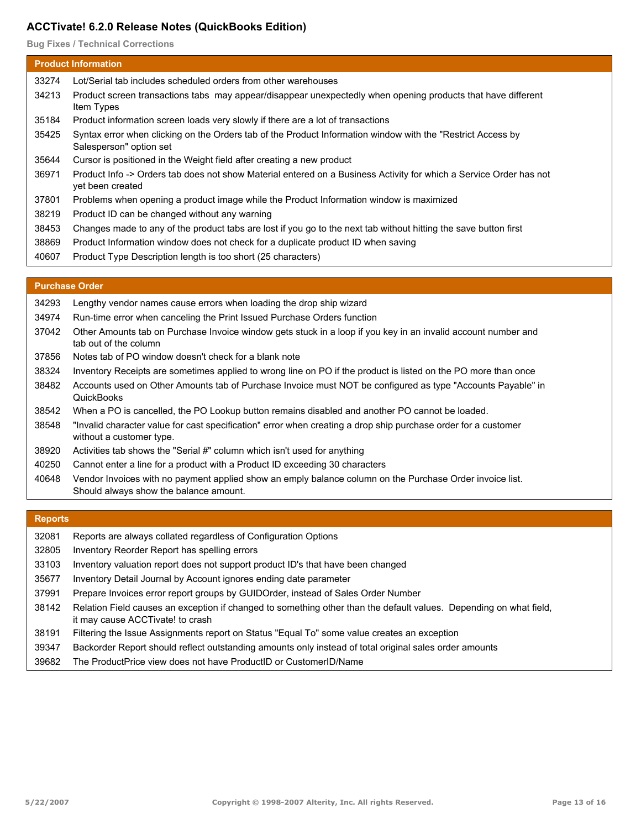**Bug Fixes / Technical Corrections**

| <b>Product Information</b> |                                                                                                                                        |  |  |  |
|----------------------------|----------------------------------------------------------------------------------------------------------------------------------------|--|--|--|
| 33274                      | Lot/Serial tab includes scheduled orders from other warehouses                                                                         |  |  |  |
| 34213                      | Product screen transactions tabs may appear/disappear unexpectedly when opening products that have different<br>Item Types             |  |  |  |
| 35184                      | Product information screen loads very slowly if there are a lot of transactions                                                        |  |  |  |
| 35425                      | Syntax error when clicking on the Orders tab of the Product Information window with the "Restrict Access by<br>Salesperson" option set |  |  |  |
| 35644                      | Cursor is positioned in the Weight field after creating a new product                                                                  |  |  |  |
| 36971                      | Product Info -> Orders tab does not show Material entered on a Business Activity for which a Service Order has not<br>yet been created |  |  |  |
| 37801                      | Problems when opening a product image while the Product Information window is maximized                                                |  |  |  |
| 38219                      | Product ID can be changed without any warning                                                                                          |  |  |  |
| 38453                      | Changes made to any of the product tabs are lost if you go to the next tab without hitting the save button first                       |  |  |  |
| 38869                      | Product Information window does not check for a duplicate product ID when saving                                                       |  |  |  |
| 40607                      | Product Type Description length is too short (25 characters)                                                                           |  |  |  |
|                            |                                                                                                                                        |  |  |  |
|                            | <b>Purchase Order</b>                                                                                                                  |  |  |  |

#### **Purchase Order**

| 34293 | Lengthy vendor names cause errors when loading the drop ship wizard                                                                                |
|-------|----------------------------------------------------------------------------------------------------------------------------------------------------|
| 34974 | Run-time error when canceling the Print Issued Purchase Orders function                                                                            |
| 37042 | Other Amounts tab on Purchase Invoice window gets stuck in a loop if you key in an invalid account number and<br>tab out of the column             |
| 37856 | Notes tab of PO window doesn't check for a blank note                                                                                              |
| 38324 | Inventory Receipts are sometimes applied to wrong line on PO if the product is listed on the PO more than once                                     |
| 38482 | Accounts used on Other Amounts tab of Purchase Invoice must NOT be configured as type "Accounts Payable" in<br>QuickBooks                          |
| 38542 | When a PO is cancelled, the PO Lookup button remains disabled and another PO cannot be loaded.                                                     |
| 38548 | "Invalid character value for cast specification" error when creating a drop ship purchase order for a customer<br>without a customer type.         |
| 38920 | Activities tab shows the "Serial #" column which isn't used for anything                                                                           |
| 40250 | Cannot enter a line for a product with a Product ID exceeding 30 characters                                                                        |
| 40648 | Vendor Invoices with no payment applied show an emply balance column on the Purchase Order invoice list.<br>Should always show the balance amount. |

# **Reports**

| 32081 | Reports are always collated regardless of Configuration Options                                                                                        |
|-------|--------------------------------------------------------------------------------------------------------------------------------------------------------|
| 32805 | Inventory Reorder Report has spelling errors                                                                                                           |
| 33103 | Inventory valuation report does not support product ID's that have been changed                                                                        |
| 35677 | Inventory Detail Journal by Account ignores ending date parameter                                                                                      |
| 37991 | Prepare Invoices error report groups by GUIDOrder, instead of Sales Order Number                                                                       |
| 38142 | Relation Field causes an exception if changed to something other than the default values. Depending on what field,<br>it may cause ACCTivate! to crash |
| 38191 | Filtering the Issue Assignments report on Status "Equal To" some value creates an exception                                                            |
| 39347 | Backorder Report should reflect outstanding amounts only instead of total original sales order amounts                                                 |
| 39682 | The ProductPrice view does not have ProductID or CustomerID/Name                                                                                       |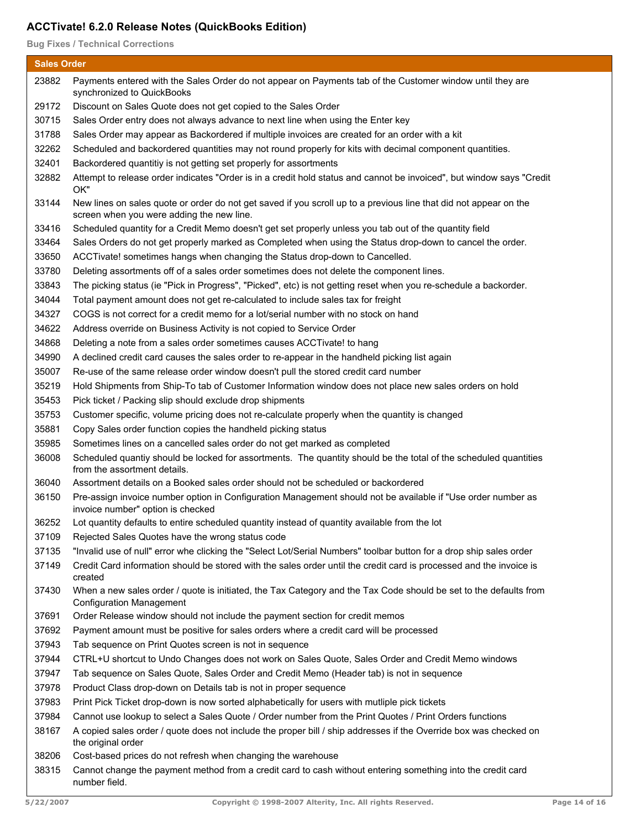**Bug Fixes / Technical Corrections**

| <b>Sales Order</b> |                                                                                                                                                                |  |
|--------------------|----------------------------------------------------------------------------------------------------------------------------------------------------------------|--|
| 23882              | Payments entered with the Sales Order do not appear on Payments tab of the Customer window until they are<br>synchronized to QuickBooks                        |  |
| 29172              | Discount on Sales Quote does not get copied to the Sales Order                                                                                                 |  |
| 30715              | Sales Order entry does not always advance to next line when using the Enter key                                                                                |  |
| 31788              | Sales Order may appear as Backordered if multiple invoices are created for an order with a kit                                                                 |  |
| 32262              | Scheduled and backordered quantities may not round properly for kits with decimal component quantities.                                                        |  |
| 32401              | Backordered quantitiy is not getting set properly for assortments                                                                                              |  |
| 32882              | Attempt to release order indicates "Order is in a credit hold status and cannot be invoiced", but window says "Credit<br>OK"                                   |  |
| 33144              | New lines on sales quote or order do not get saved if you scroll up to a previous line that did not appear on the<br>screen when you were adding the new line. |  |
| 33416              | Scheduled quantity for a Credit Memo doesn't get set properly unless you tab out of the quantity field                                                         |  |
| 33464              | Sales Orders do not get properly marked as Completed when using the Status drop-down to cancel the order.                                                      |  |
| 33650              | ACCTivate! sometimes hangs when changing the Status drop-down to Cancelled.                                                                                    |  |
| 33780              | Deleting assortments off of a sales order sometimes does not delete the component lines.                                                                       |  |
| 33843              | The picking status (ie "Pick in Progress", "Picked", etc) is not getting reset when you re-schedule a backorder.                                               |  |
| 34044              | Total payment amount does not get re-calculated to include sales tax for freight                                                                               |  |
| 34327              | COGS is not correct for a credit memo for a lot/serial number with no stock on hand                                                                            |  |
| 34622              | Address override on Business Activity is not copied to Service Order                                                                                           |  |
| 34868              | Deleting a note from a sales order sometimes causes ACCTivate! to hang                                                                                         |  |
| 34990              | A declined credit card causes the sales order to re-appear in the handheld picking list again                                                                  |  |
| 35007              | Re-use of the same release order window doesn't pull the stored credit card number                                                                             |  |
| 35219              | Hold Shipments from Ship-To tab of Customer Information window does not place new sales orders on hold                                                         |  |
| 35453              | Pick ticket / Packing slip should exclude drop shipments                                                                                                       |  |
| 35753              | Customer specific, volume pricing does not re-calculate properly when the quantity is changed                                                                  |  |
| 35881              | Copy Sales order function copies the handheld picking status                                                                                                   |  |
| 35985              | Sometimes lines on a cancelled sales order do not get marked as completed                                                                                      |  |
| 36008              | Scheduled quantiy should be locked for assortments. The quantity should be the total of the scheduled quantities<br>from the assortment details.               |  |
| 36040              | Assortment details on a Booked sales order should not be scheduled or backordered                                                                              |  |
| 36150              | Pre-assign invoice number option in Configuration Management should not be available if "Use order number as<br>invoice number" option is checked              |  |
| 36252              | Lot quantity defaults to entire scheduled quantity instead of quantity available from the lot                                                                  |  |
| 37109              | Rejected Sales Quotes have the wrong status code                                                                                                               |  |
| 37135              | "Invalid use of null" error whe clicking the "Select Lot/Serial Numbers" toolbar button for a drop ship sales order                                            |  |
| 37149              | Credit Card information should be stored with the sales order until the credit card is processed and the invoice is<br>created                                 |  |
| 37430              | When a new sales order / quote is initiated, the Tax Category and the Tax Code should be set to the defaults from<br><b>Configuration Management</b>           |  |
| 37691              | Order Release window should not include the payment section for credit memos                                                                                   |  |
| 37692              | Payment amount must be positive for sales orders where a credit card will be processed                                                                         |  |
| 37943              | Tab sequence on Print Quotes screen is not in sequence                                                                                                         |  |
| 37944              | CTRL+U shortcut to Undo Changes does not work on Sales Quote, Sales Order and Credit Memo windows                                                              |  |
| 37947              | Tab sequence on Sales Quote, Sales Order and Credit Memo (Header tab) is not in sequence                                                                       |  |
| 37978              | Product Class drop-down on Details tab is not in proper sequence                                                                                               |  |
| 37983              | Print Pick Ticket drop-down is now sorted alphabetically for users with mutliple pick tickets                                                                  |  |
| 37984              | Cannot use lookup to select a Sales Quote / Order number from the Print Quotes / Print Orders functions                                                        |  |
| 38167              | A copied sales order / quote does not include the proper bill / ship addresses if the Override box was checked on<br>the original order                        |  |
| 38206              | Cost-based prices do not refresh when changing the warehouse                                                                                                   |  |
| 38315              | Cannot change the payment method from a credit card to cash without entering something into the credit card<br>number field.                                   |  |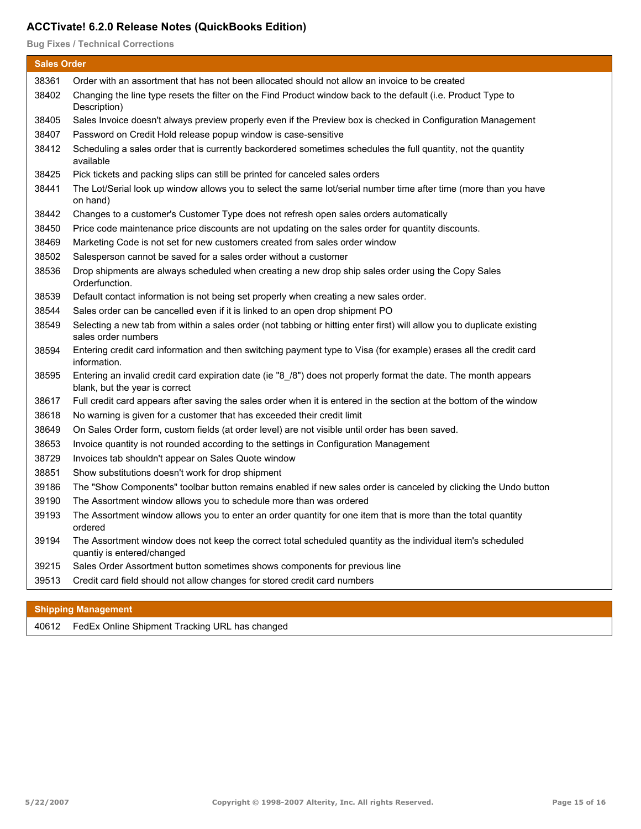**Bug Fixes / Technical Corrections**

| <b>Sales Order</b> |                                                                                                                                                    |
|--------------------|----------------------------------------------------------------------------------------------------------------------------------------------------|
| 38361              | Order with an assortment that has not been allocated should not allow an invoice to be created                                                     |
| 38402              | Changing the line type resets the filter on the Find Product window back to the default (i.e. Product Type to<br>Description)                      |
| 38405              | Sales Invoice doesn't always preview properly even if the Preview box is checked in Configuration Management                                       |
| 38407              | Password on Credit Hold release popup window is case-sensitive                                                                                     |
| 38412              | Scheduling a sales order that is currently backordered sometimes schedules the full quantity, not the quantity<br>available                        |
| 38425              | Pick tickets and packing slips can still be printed for canceled sales orders                                                                      |
| 38441              | The Lot/Serial look up window allows you to select the same lot/serial number time after time (more than you have<br>on hand)                      |
| 38442              | Changes to a customer's Customer Type does not refresh open sales orders automatically                                                             |
| 38450              | Price code maintenance price discounts are not updating on the sales order for quantity discounts.                                                 |
| 38469              | Marketing Code is not set for new customers created from sales order window                                                                        |
| 38502              | Salesperson cannot be saved for a sales order without a customer                                                                                   |
| 38536              | Drop shipments are always scheduled when creating a new drop ship sales order using the Copy Sales<br>Orderfunction.                               |
| 38539              | Default contact information is not being set properly when creating a new sales order.                                                             |
| 38544              | Sales order can be cancelled even if it is linked to an open drop shipment PO                                                                      |
| 38549              | Selecting a new tab from within a sales order (not tabbing or hitting enter first) will allow you to duplicate existing<br>sales order numbers     |
| 38594              | Entering credit card information and then switching payment type to Visa (for example) erases all the credit card<br>information.                  |
| 38595              | Entering an invalid credit card expiration date (ie "8_/8") does not properly format the date. The month appears<br>blank, but the year is correct |
| 38617              | Full credit card appears after saving the sales order when it is entered in the section at the bottom of the window                                |
| 38618              | No warning is given for a customer that has exceeded their credit limit                                                                            |
| 38649              | On Sales Order form, custom fields (at order level) are not visible until order has been saved.                                                    |
| 38653              | Invoice quantity is not rounded according to the settings in Configuration Management                                                              |
| 38729              | Invoices tab shouldn't appear on Sales Quote window                                                                                                |
| 38851              | Show substitutions doesn't work for drop shipment                                                                                                  |
| 39186              | The "Show Components" toolbar button remains enabled if new sales order is canceled by clicking the Undo button                                    |
| 39190              | The Assortment window allows you to schedule more than was ordered                                                                                 |
| 39193              | The Assortment window allows you to enter an order quantity for one item that is more than the total quantity<br>ordered                           |
| 39194              | The Assortment window does not keep the correct total scheduled quantity as the individual item's scheduled<br>quantiy is entered/changed          |
| 39215              | Sales Order Assortment button sometimes shows components for previous line                                                                         |
| 39513              | Credit card field should not allow changes for stored credit card numbers                                                                          |

## **Shipping Management**

40612 FedEx Online Shipment Tracking URL has changed